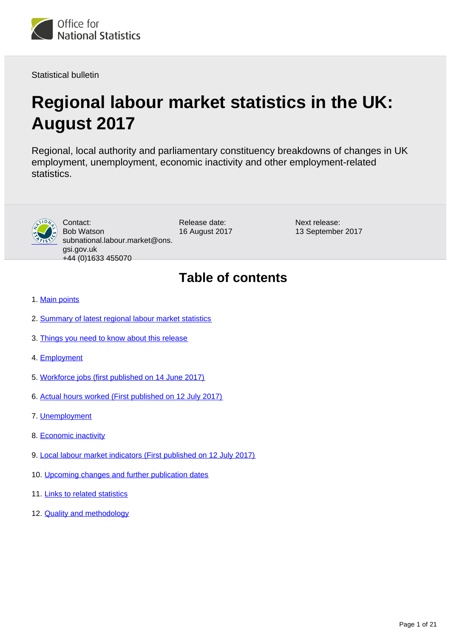

Statistical bulletin

# **Regional labour market statistics in the UK: August 2017**

Regional, local authority and parliamentary constituency breakdowns of changes in UK employment, unemployment, economic inactivity and other employment-related statistics.



Contact: Bob Watson subnational.labour.market@ons. gsi.gov.uk +44 (0)1633 455070

Release date: 16 August 2017 Next release: 13 September 2017

## **Table of contents**

- 1. [Main points](#page-1-0)
- 2. [Summary of latest regional labour market statistics](#page-1-1)
- 3. [Things you need to know about this release](#page-2-0)
- 4. [Employment](#page-4-0)
- 5. [Workforce jobs \(first published on 14 June 2017\)](#page-7-0)
- 6. [Actual hours worked \(First published on 12 July 2017\)](#page-11-0)
- 7. [Unemployment](#page-13-0)
- 8. [Economic inactivity](#page-15-0)
- 9. [Local labour market indicators \(First published on 12 July 2017\)](#page-17-0)
- 10. [Upcoming changes and further publication dates](#page-17-1)
- 11. [Links to related statistics](#page-18-0)
- 12. **[Quality and methodology](#page-18-1)**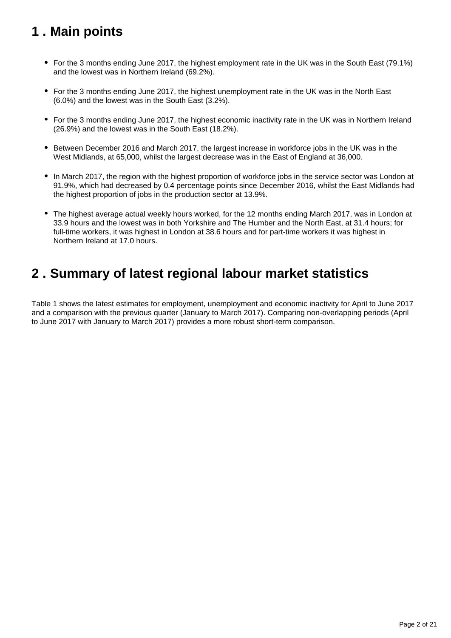## <span id="page-1-0"></span>**1 . Main points**

- For the 3 months ending June 2017, the highest employment rate in the UK was in the South East (79.1%) and the lowest was in Northern Ireland (69.2%).
- For the 3 months ending June 2017, the highest unemployment rate in the UK was in the North East (6.0%) and the lowest was in the South East (3.2%).
- For the 3 months ending June 2017, the highest economic inactivity rate in the UK was in Northern Ireland (26.9%) and the lowest was in the South East (18.2%).
- **Between December 2016 and March 2017, the largest increase in workforce jobs in the UK was in the** West Midlands, at 65,000, whilst the largest decrease was in the East of England at 36,000.
- In March 2017, the region with the highest proportion of workforce jobs in the service sector was London at 91.9%, which had decreased by 0.4 percentage points since December 2016, whilst the East Midlands had the highest proportion of jobs in the production sector at 13.9%.
- The highest average actual weekly hours worked, for the 12 months ending March 2017, was in London at 33.9 hours and the lowest was in both Yorkshire and The Humber and the North East, at 31.4 hours; for full-time workers, it was highest in London at 38.6 hours and for part-time workers it was highest in Northern Ireland at 17.0 hours.

## <span id="page-1-1"></span>**2 . Summary of latest regional labour market statistics**

Table 1 shows the latest estimates for employment, unemployment and economic inactivity for April to June 2017 and a comparison with the previous quarter (January to March 2017). Comparing non-overlapping periods (April to June 2017 with January to March 2017) provides a more robust short-term comparison.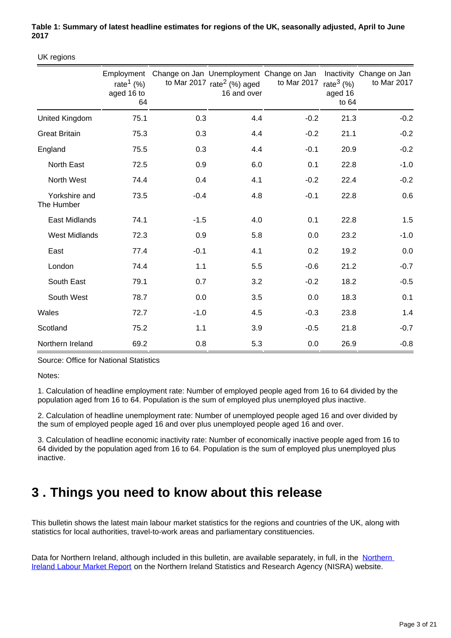#### **Table 1: Summary of latest headline estimates for regions of the UK, seasonally adjusted, April to June 2017**

UK regions

|                             | Employment<br>rate <sup>1</sup> (%)<br>aged 16 to<br>64 |        | to Mar 2017 $rate2$ (%) aged<br>16 and over | Change on Jan Unemployment Change on Jan<br>to Mar 2017 | rate $3(%)$<br>aged 16<br>to $64$ | Inactivity Change on Jan<br>to Mar 2017 |
|-----------------------------|---------------------------------------------------------|--------|---------------------------------------------|---------------------------------------------------------|-----------------------------------|-----------------------------------------|
| United Kingdom              | 75.1                                                    | 0.3    | 4.4                                         | $-0.2$                                                  | 21.3                              | $-0.2$                                  |
| <b>Great Britain</b>        | 75.3                                                    | 0.3    | 4.4                                         | $-0.2$                                                  | 21.1                              | $-0.2$                                  |
| England                     | 75.5                                                    | 0.3    | 4.4                                         | $-0.1$                                                  | 20.9                              | $-0.2$                                  |
| North East                  | 72.5                                                    | 0.9    | 6.0                                         | 0.1                                                     | 22.8                              | $-1.0$                                  |
| North West                  | 74.4                                                    | 0.4    | 4.1                                         | $-0.2$                                                  | 22.4                              | $-0.2$                                  |
| Yorkshire and<br>The Humber | 73.5                                                    | $-0.4$ | 4.8                                         | $-0.1$                                                  | 22.8                              | 0.6                                     |
| <b>East Midlands</b>        | 74.1                                                    | $-1.5$ | 4.0                                         | 0.1                                                     | 22.8                              | 1.5                                     |
| <b>West Midlands</b>        | 72.3                                                    | 0.9    | 5.8                                         | 0.0                                                     | 23.2                              | $-1.0$                                  |
| East                        | 77.4                                                    | $-0.1$ | 4.1                                         | 0.2                                                     | 19.2                              | 0.0                                     |
| London                      | 74.4                                                    | 1.1    | 5.5                                         | $-0.6$                                                  | 21.2                              | $-0.7$                                  |
| South East                  | 79.1                                                    | 0.7    | 3.2                                         | $-0.2$                                                  | 18.2                              | $-0.5$                                  |
| South West                  | 78.7                                                    | 0.0    | 3.5                                         | 0.0                                                     | 18.3                              | 0.1                                     |
| Wales                       | 72.7                                                    | $-1.0$ | 4.5                                         | $-0.3$                                                  | 23.8                              | 1.4                                     |
| Scotland                    | 75.2                                                    | 1.1    | 3.9                                         | $-0.5$                                                  | 21.8                              | $-0.7$                                  |
| Northern Ireland            | 69.2                                                    | 0.8    | 5.3                                         | 0.0                                                     | 26.9                              | $-0.8$                                  |

Source: Office for National Statistics

Notes:

1. Calculation of headline employment rate: Number of employed people aged from 16 to 64 divided by the population aged from 16 to 64. Population is the sum of employed plus unemployed plus inactive.

2. Calculation of headline unemployment rate: Number of unemployed people aged 16 and over divided by the sum of employed people aged 16 and over plus unemployed people aged 16 and over.

3. Calculation of headline economic inactivity rate: Number of economically inactive people aged from 16 to 64 divided by the population aged from 16 to 64. Population is the sum of employed plus unemployed plus inactive.

## <span id="page-2-0"></span>**3 . Things you need to know about this release**

This bulletin shows the latest main labour market statistics for the regions and countries of the UK, along with statistics for local authorities, travel-to-work areas and parliamentary constituencies.

Data for [Northern](https://www.nisra.gov.uk/statistics/labour-market-and-social-welfare/labour-force-survey) Ireland, although included in this bulletin, are available separately, in full, in the Northern [Ireland Labour Market Report](https://www.nisra.gov.uk/statistics/labour-market-and-social-welfare/labour-force-survey) on the Northern Ireland Statistics and Research Agency (NISRA) website.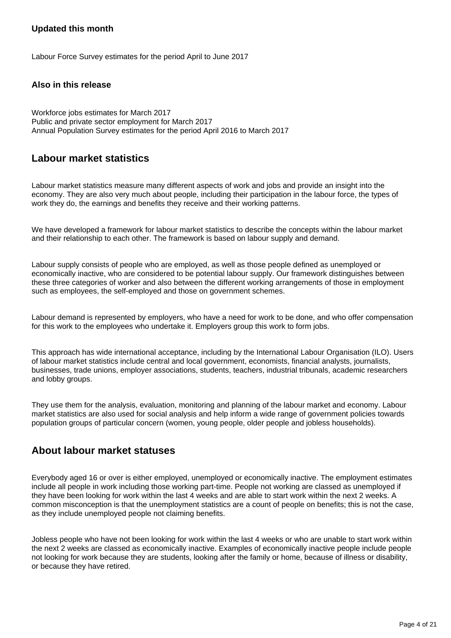#### **Updated this month**

Labour Force Survey estimates for the period April to June 2017

#### **Also in this release**

Workforce jobs estimates for March 2017 Public and private sector employment for March 2017 Annual Population Survey estimates for the period April 2016 to March 2017

### **Labour market statistics**

Labour market statistics measure many different aspects of work and jobs and provide an insight into the economy. They are also very much about people, including their participation in the labour force, the types of work they do, the earnings and benefits they receive and their working patterns.

We have developed a framework for labour market statistics to describe the concepts within the labour market and their relationship to each other. The framework is based on labour supply and demand.

Labour supply consists of people who are employed, as well as those people defined as unemployed or economically inactive, who are considered to be potential labour supply. Our framework distinguishes between these three categories of worker and also between the different working arrangements of those in employment such as employees, the self-employed and those on government schemes.

Labour demand is represented by employers, who have a need for work to be done, and who offer compensation for this work to the employees who undertake it. Employers group this work to form jobs.

This approach has wide international acceptance, including by the International Labour Organisation (ILO). Users of labour market statistics include central and local government, economists, financial analysts, journalists, businesses, trade unions, employer associations, students, teachers, industrial tribunals, academic researchers and lobby groups.

They use them for the analysis, evaluation, monitoring and planning of the labour market and economy. Labour market statistics are also used for social analysis and help inform a wide range of government policies towards population groups of particular concern (women, young people, older people and jobless households).

### **About labour market statuses**

Everybody aged 16 or over is either employed, unemployed or economically inactive. The employment estimates include all people in work including those working part-time. People not working are classed as unemployed if they have been looking for work within the last 4 weeks and are able to start work within the next 2 weeks. A common misconception is that the unemployment statistics are a count of people on benefits; this is not the case, as they include unemployed people not claiming benefits.

Jobless people who have not been looking for work within the last 4 weeks or who are unable to start work within the next 2 weeks are classed as economically inactive. Examples of economically inactive people include people not looking for work because they are students, looking after the family or home, because of illness or disability, or because they have retired.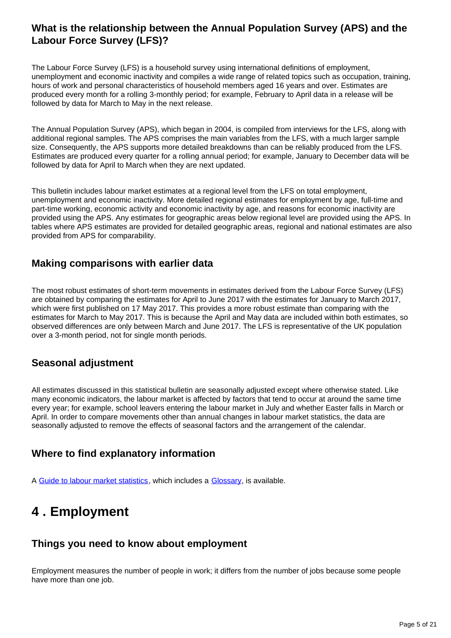### **What is the relationship between the Annual Population Survey (APS) and the Labour Force Survey (LFS)?**

The Labour Force Survey (LFS) is a household survey using international definitions of employment, unemployment and economic inactivity and compiles a wide range of related topics such as occupation, training, hours of work and personal characteristics of household members aged 16 years and over. Estimates are produced every month for a rolling 3-monthly period; for example, February to April data in a release will be followed by data for March to May in the next release.

The Annual Population Survey (APS), which began in 2004, is compiled from interviews for the LFS, along with additional regional samples. The APS comprises the main variables from the LFS, with a much larger sample size. Consequently, the APS supports more detailed breakdowns than can be reliably produced from the LFS. Estimates are produced every quarter for a rolling annual period; for example, January to December data will be followed by data for April to March when they are next updated.

This bulletin includes labour market estimates at a regional level from the LFS on total employment, unemployment and economic inactivity. More detailed regional estimates for employment by age, full-time and part-time working, economic activity and economic inactivity by age, and reasons for economic inactivity are provided using the APS. Any estimates for geographic areas below regional level are provided using the APS. In tables where APS estimates are provided for detailed geographic areas, regional and national estimates are also provided from APS for comparability.

### **Making comparisons with earlier data**

The most robust estimates of short-term movements in estimates derived from the Labour Force Survey (LFS) are obtained by comparing the estimates for April to June 2017 with the estimates for January to March 2017, which were first published on 17 May 2017. This provides a more robust estimate than comparing with the estimates for March to May 2017. This is because the April and May data are included within both estimates, so observed differences are only between March and June 2017. The LFS is representative of the UK population over a 3-month period, not for single month periods.

### **Seasonal adjustment**

All estimates discussed in this statistical bulletin are seasonally adjusted except where otherwise stated. Like many economic indicators, the labour market is affected by factors that tend to occur at around the same time every year; for example, school leavers entering the labour market in July and whether Easter falls in March or April. In order to compare movements other than annual changes in labour market statistics, the data are seasonally adjusted to remove the effects of seasonal factors and the arrangement of the calendar.

### **Where to find explanatory information**

A [Guide to labour market statistics](https://www.ons.gov.uk/employmentandlabourmarket/peopleinwork/employmentandemployeetypes/methodologies/aguidetolabourmarketstatistics#abstract), which includes a [Glossary,](https://www.ons.gov.uk/employmentandlabourmarket/peopleinwork/employmentandemployeetypes/methodologies/aguidetolabourmarketstatistics#glossary) is available.

## <span id="page-4-0"></span>**4 . Employment**

### **Things you need to know about employment**

Employment measures the number of people in work; it differs from the number of jobs because some people have more than one job.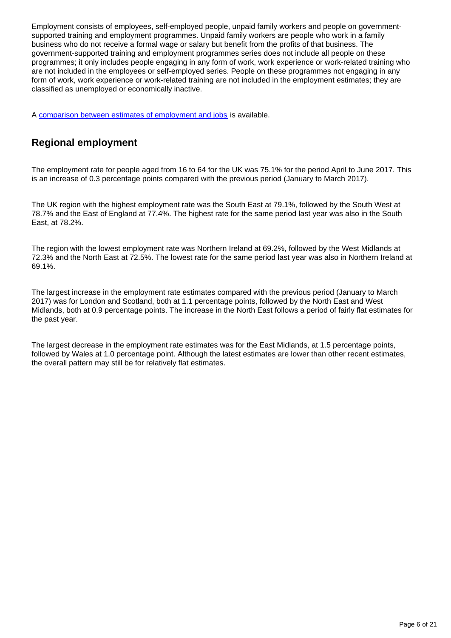Employment consists of employees, self-employed people, unpaid family workers and people on governmentsupported training and employment programmes. Unpaid family workers are people who work in a family business who do not receive a formal wage or salary but benefit from the profits of that business. The government-supported training and employment programmes series does not include all people on these programmes; it only includes people engaging in any form of work, work experience or work-related training who are not included in the employees or self-employed series. People on these programmes not engaging in any form of work, work experience or work-related training are not included in the employment estimates; they are classified as unemployed or economically inactive.

A [comparison between estimates of employment and jobs](http://www.ons.gov.uk/employmentandlabourmarket/peopleinwork/employmentandemployeetypes/articles/reconciliationofestimatesofjobs/latest) is available.

### **Regional employment**

The employment rate for people aged from 16 to 64 for the UK was 75.1% for the period April to June 2017. This is an increase of 0.3 percentage points compared with the previous period (January to March 2017).

The UK region with the highest employment rate was the South East at 79.1%, followed by the South West at 78.7% and the East of England at 77.4%. The highest rate for the same period last year was also in the South East, at 78.2%.

The region with the lowest employment rate was Northern Ireland at 69.2%, followed by the West Midlands at 72.3% and the North East at 72.5%. The lowest rate for the same period last year was also in Northern Ireland at 69.1%.

The largest increase in the employment rate estimates compared with the previous period (January to March 2017) was for London and Scotland, both at 1.1 percentage points, followed by the North East and West Midlands, both at 0.9 percentage points. The increase in the North East follows a period of fairly flat estimates for the past year.

The largest decrease in the employment rate estimates was for the East Midlands, at 1.5 percentage points, followed by Wales at 1.0 percentage point. Although the latest estimates are lower than other recent estimates, the overall pattern may still be for relatively flat estimates.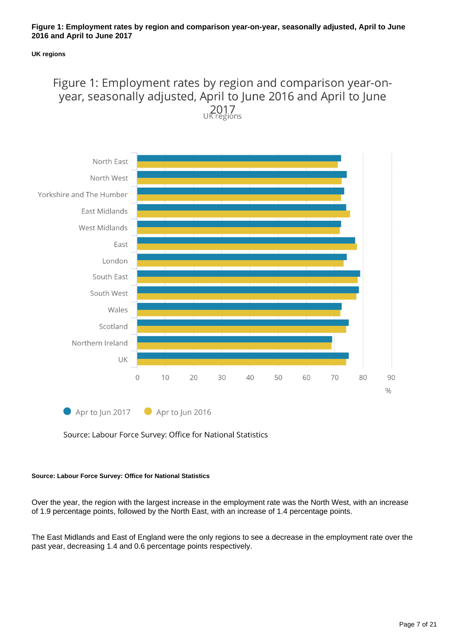#### **Figure 1: Employment rates by region and comparison year-on-year, seasonally adjusted, April to June 2016 and April to June 2017**

#### **UK regions**

## Figure 1: Employment rates by region and comparison year-onyear, seasonally adjusted, April to June 2016 and April to June  $2017$ <br>UK regions



Source: Labour Force Survey: Office for National Statistics

#### **Source: Labour Force Survey: Office for National Statistics**

Over the year, the region with the largest increase in the employment rate was the North West, with an increase of 1.9 percentage points, followed by the North East, with an increase of 1.4 percentage points.

The East Midlands and East of England were the only regions to see a decrease in the employment rate over the past year, decreasing 1.4 and 0.6 percentage points respectively.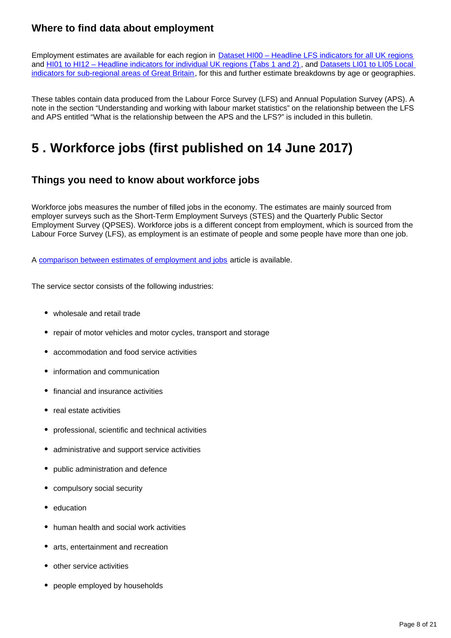### **Where to find data about employment**

Employment estimates are available for each region in [Dataset HI00 – Headline LFS indicators for all UK regions](http://www.ons.gov.uk/employmentandlabourmarket/peopleinwork/employmentandemployeetypes/datasets/headlinelabourforcesurveyindicatorsforallregionshi00) and [HI01 to HI12 – Headline indicators for individual UK regions \(Tabs 1 and 2\)](http://www.ons.gov.uk/employmentandlabourmarket/peopleinwork/employmentandemployeetypes/bulletins/regionallabourmarket/jan2017/relateddata/) , and [Datasets LI01 to LI05 Local](http://www.ons.gov.uk/employmentandlabourmarket/peopleinwork/employmentandemployeetypes/bulletins/regionallabourmarket/jan2017/relateddata/)  [indicators for sub-regional areas of Great Britain](http://www.ons.gov.uk/employmentandlabourmarket/peopleinwork/employmentandemployeetypes/bulletins/regionallabourmarket/jan2017/relateddata/), for this and further estimate breakdowns by age or geographies.

These tables contain data produced from the Labour Force Survey (LFS) and Annual Population Survey (APS). A note in the section "Understanding and working with labour market statistics" on the relationship between the LFS and APS entitled "What is the relationship between the APS and the LFS?" is included in this bulletin.

## <span id="page-7-0"></span>**5 . Workforce jobs (first published on 14 June 2017)**

### **Things you need to know about workforce jobs**

Workforce jobs measures the number of filled jobs in the economy. The estimates are mainly sourced from employer surveys such as the Short-Term Employment Surveys (STES) and the Quarterly Public Sector Employment Survey (QPSES). Workforce jobs is a different concept from employment, which is sourced from the Labour Force Survey (LFS), as employment is an estimate of people and some people have more than one job.

A [comparison between estimates of employment and jobs](http://www.ons.gov.uk/employmentandlabourmarket/peopleinwork/employmentandemployeetypes/articles/reconciliationofestimatesofjobs/latest) article is available.

The service sector consists of the following industries:

- wholesale and retail trade
- repair of motor vehicles and motor cycles, transport and storage
- accommodation and food service activities
- information and communication
- financial and insurance activities
- real estate activities
- professional, scientific and technical activities
- administrative and support service activities
- public administration and defence
- compulsory social security
- education
- human health and social work activities
- arts, entertainment and recreation
- other service activities
- people employed by households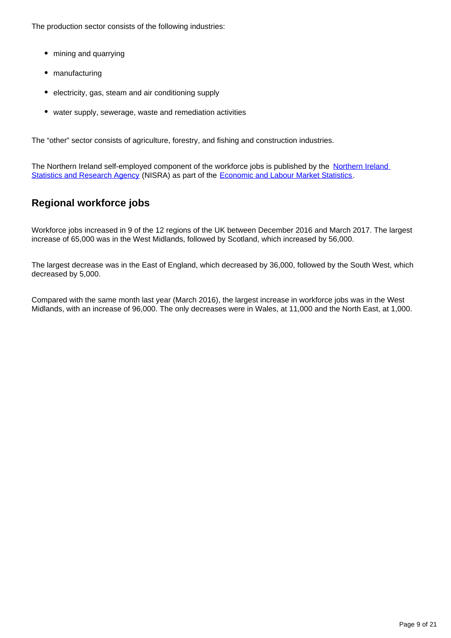The production sector consists of the following industries:

- mining and quarrying
- manufacturing
- electricity, gas, steam and air conditioning supply
- water supply, sewerage, waste and remediation activities

The "other" sector consists of agriculture, forestry, and fishing and construction industries.

The [Northern Ireland](https://www.gov.uk/government/organisations/northern-ireland-statistics-and-research-agency) self-employed component of the workforce jobs is published by the Northern Ireland [Statistics and Research Agency](https://www.gov.uk/government/organisations/northern-ireland-statistics-and-research-agency) (NISRA) as part of the [Economic and Labour Market Statistics.](https://www.nisra.gov.uk/statistics/labour-market-and-social-welfare/labour-force-survey#toc-1)

### **Regional workforce jobs**

Workforce jobs increased in 9 of the 12 regions of the UK between December 2016 and March 2017. The largest increase of 65,000 was in the West Midlands, followed by Scotland, which increased by 56,000.

The largest decrease was in the East of England, which decreased by 36,000, followed by the South West, which decreased by 5,000.

Compared with the same month last year (March 2016), the largest increase in workforce jobs was in the West Midlands, with an increase of 96,000. The only decreases were in Wales, at 11,000 and the North East, at 1,000.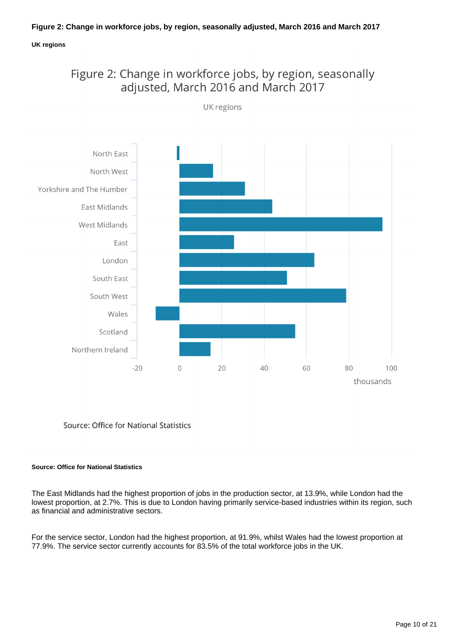#### **Figure 2: Change in workforce jobs, by region, seasonally adjusted, March 2016 and March 2017**

#### **UK regions**





Source: Office for National Statistics

#### **Source: Office for National Statistics**

The East Midlands had the highest proportion of jobs in the production sector, at 13.9%, while London had the lowest proportion, at 2.7%. This is due to London having primarily service-based industries within its region, such as financial and administrative sectors.

For the service sector, London had the highest proportion, at 91.9%, whilst Wales had the lowest proportion at 77.9%. The service sector currently accounts for 83.5% of the total workforce jobs in the UK.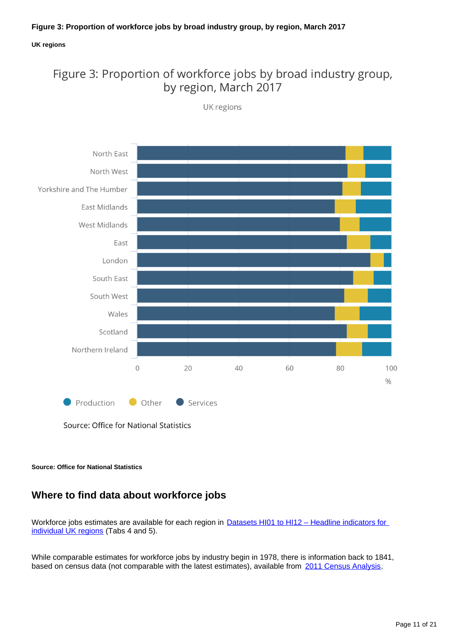#### **UK regions**

## Figure 3: Proportion of workforce jobs by broad industry group, by region, March 2017



UK regions

Source: Office for National Statistics

**Source: Office for National Statistics**

### **Where to find data about workforce jobs**

Workforce jobs estimates are available for each region in **Datasets HI01 to HI12 – Headline indicators for** [individual UK regions](http://www.ons.gov.uk/employmentandlabourmarket/peopleinwork/employmentandemployeetypes/bulletins/regionallabourmarket/jan2017/relateddata/) (Tabs 4 and 5).

While comparable estimates for workforce jobs by industry begin in 1978, there is information back to 1841, based on census data (not comparable with the latest estimates), available from [2011 Census Analysis](http://www.ons.gov.uk/ons/rel/census/2011-census-analysis/170-years-of-industry/index.html).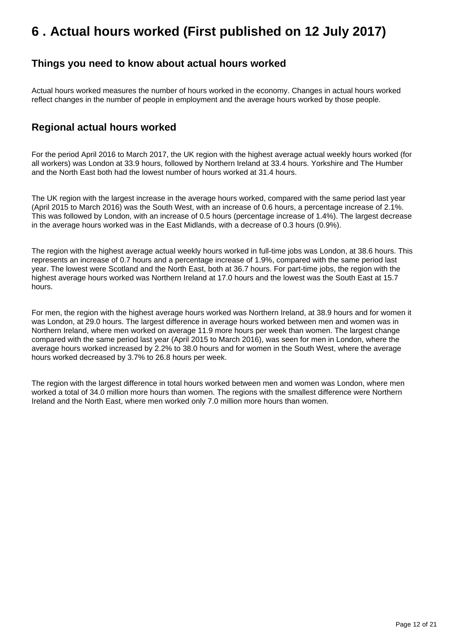## <span id="page-11-0"></span>**6 . Actual hours worked (First published on 12 July 2017)**

### **Things you need to know about actual hours worked**

Actual hours worked measures the number of hours worked in the economy. Changes in actual hours worked reflect changes in the number of people in employment and the average hours worked by those people.

### **Regional actual hours worked**

For the period April 2016 to March 2017, the UK region with the highest average actual weekly hours worked (for all workers) was London at 33.9 hours, followed by Northern Ireland at 33.4 hours. Yorkshire and The Humber and the North East both had the lowest number of hours worked at 31.4 hours.

The UK region with the largest increase in the average hours worked, compared with the same period last year (April 2015 to March 2016) was the South West, with an increase of 0.6 hours, a percentage increase of 2.1%. This was followed by London, with an increase of 0.5 hours (percentage increase of 1.4%). The largest decrease in the average hours worked was in the East Midlands, with a decrease of 0.3 hours (0.9%).

The region with the highest average actual weekly hours worked in full-time jobs was London, at 38.6 hours. This represents an increase of 0.7 hours and a percentage increase of 1.9%, compared with the same period last year. The lowest were Scotland and the North East, both at 36.7 hours. For part-time jobs, the region with the highest average hours worked was Northern Ireland at 17.0 hours and the lowest was the South East at 15.7 hours.

For men, the region with the highest average hours worked was Northern Ireland, at 38.9 hours and for women it was London, at 29.0 hours. The largest difference in average hours worked between men and women was in Northern Ireland, where men worked on average 11.9 more hours per week than women. The largest change compared with the same period last year (April 2015 to March 2016), was seen for men in London, where the average hours worked increased by 2.2% to 38.0 hours and for women in the South West, where the average hours worked decreased by 3.7% to 26.8 hours per week.

The region with the largest difference in total hours worked between men and women was London, where men worked a total of 34.0 million more hours than women. The regions with the smallest difference were Northern Ireland and the North East, where men worked only 7.0 million more hours than women.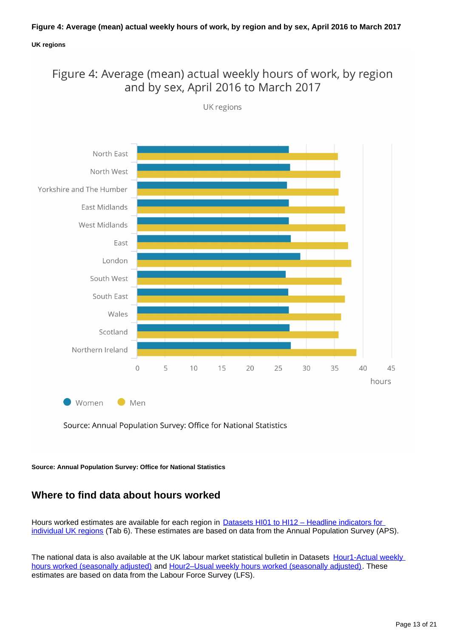#### **Figure 4: Average (mean) actual weekly hours of work, by region and by sex, April 2016 to March 2017**

#### **UK regions**

### Figure 4: Average (mean) actual weekly hours of work, by region and by sex, April 2016 to March 2017



UK regions

Source: Annual Population Survey: Office for National Statistics

**Source: Annual Population Survey: Office for National Statistics**

### **Where to find data about hours worked**

Hours worked estimates are available for each region in **Datasets HI01 to HI12 - Headline indicators for** [individual UK regions](http://www.ons.gov.uk/employmentandlabourmarket/peopleinwork/employmentandemployeetypes/bulletins/regionallabourmarket/jan2017/relateddata/) (Tab 6). These estimates are based on data from the Annual Population Survey (APS).

The national data is also available at the UK labour market statistical bulletin in Datasets Hour1-Actual weekly [hours worked \(seasonally adjusted\)](http://www.ons.gov.uk/employmentandlabourmarket/peopleinwork/earningsandworkinghours/datasets/actualweeklyhoursworkedseasonallyadjustedhour01sa) and [Hour2–Usual weekly hours worked \(seasonally adjusted\)](http://www.ons.gov.uk/employmentandlabourmarket/peopleinwork/earningsandworkinghours/datasets/usualweeklyhoursworkedseasonallyadjustedhour02sa). These estimates are based on data from the Labour Force Survey (LFS).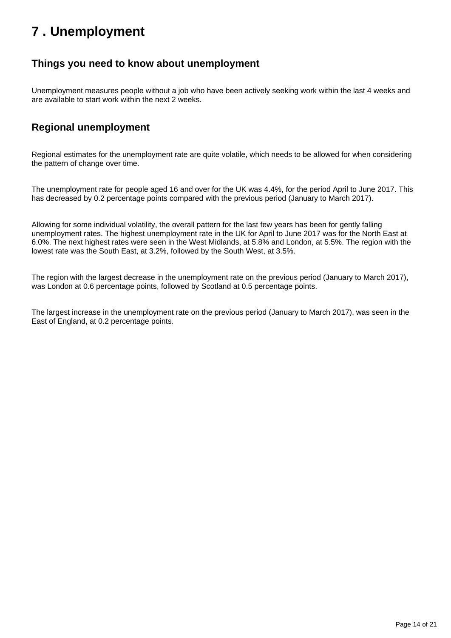## <span id="page-13-0"></span>**7 . Unemployment**

### **Things you need to know about unemployment**

Unemployment measures people without a job who have been actively seeking work within the last 4 weeks and are available to start work within the next 2 weeks.

### **Regional unemployment**

Regional estimates for the unemployment rate are quite volatile, which needs to be allowed for when considering the pattern of change over time.

The unemployment rate for people aged 16 and over for the UK was 4.4%, for the period April to June 2017. This has decreased by 0.2 percentage points compared with the previous period (January to March 2017).

Allowing for some individual volatility, the overall pattern for the last few years has been for gently falling unemployment rates. The highest unemployment rate in the UK for April to June 2017 was for the North East at 6.0%. The next highest rates were seen in the West Midlands, at 5.8% and London, at 5.5%. The region with the lowest rate was the South East, at 3.2%, followed by the South West, at 3.5%.

The region with the largest decrease in the unemployment rate on the previous period (January to March 2017), was London at 0.6 percentage points, followed by Scotland at 0.5 percentage points.

The largest increase in the unemployment rate on the previous period (January to March 2017), was seen in the East of England, at 0.2 percentage points.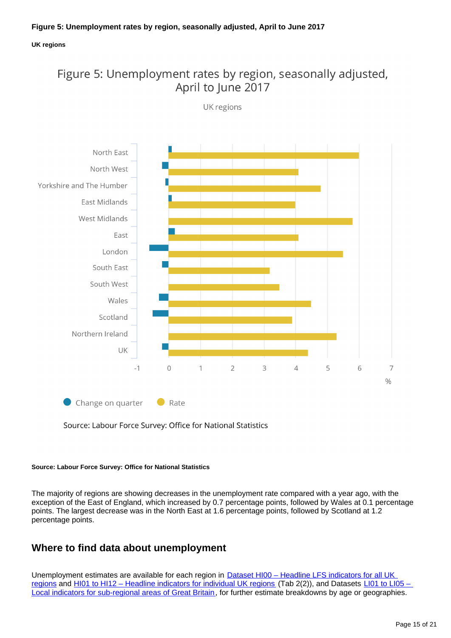#### **UK regions**

### Figure 5: Unemployment rates by region, seasonally adjusted, April to June 2017



UK regions

Source: Labour Force Survey: Office for National Statistics

#### **Source: Labour Force Survey: Office for National Statistics**

The majority of regions are showing decreases in the unemployment rate compared with a year ago, with the exception of the East of England, which increased by 0.7 percentage points, followed by Wales at 0.1 percentage points. The largest decrease was in the North East at 1.6 percentage points, followed by Scotland at 1.2 percentage points.

### **Where to find data about unemployment**

Unemployment estimates are available for each region in **Dataset HI00** - Headline LFS indicators for all UK [regions](http://www.ons.gov.uk/employmentandlabourmarket/peopleinwork/employmentandemployeetypes/datasets/headlinelabourforcesurveyindicatorsforallregionshi00) and [HI01 to HI12 – Headline indicators for individual UK regions](http://www.ons.gov.uk/employmentandlabourmarket/peopleinwork/employmentandemployeetypes/bulletins/regionallabourmarket/jan2017/relateddata/) (Tab 2(2)), and Datasets LI01 to LI05 – [Local indicators for sub-regional areas of Great Britain](http://www.ons.gov.uk/employmentandlabourmarket/peopleinwork/employmentandemployeetypes/bulletins/regionallabourmarket/jan2017/relateddata/), for further estimate breakdowns by age or geographies.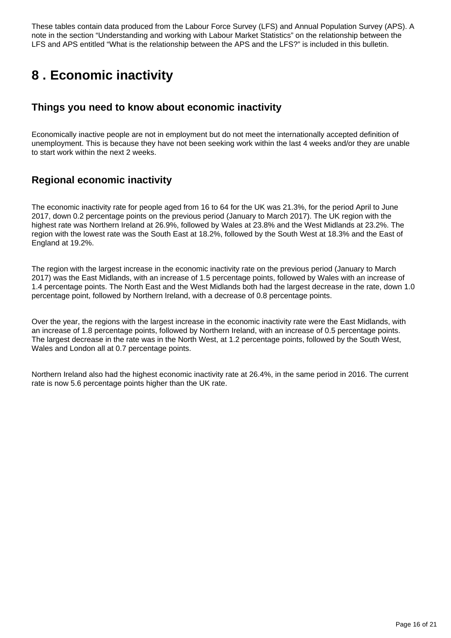These tables contain data produced from the Labour Force Survey (LFS) and Annual Population Survey (APS). A note in the section "Understanding and working with Labour Market Statistics" on the relationship between the LFS and APS entitled "What is the relationship between the APS and the LFS?" is included in this bulletin.

## <span id="page-15-0"></span>**8 . Economic inactivity**

### **Things you need to know about economic inactivity**

Economically inactive people are not in employment but do not meet the internationally accepted definition of unemployment. This is because they have not been seeking work within the last 4 weeks and/or they are unable to start work within the next 2 weeks.

### **Regional economic inactivity**

The economic inactivity rate for people aged from 16 to 64 for the UK was 21.3%, for the period April to June 2017, down 0.2 percentage points on the previous period (January to March 2017). The UK region with the highest rate was Northern Ireland at 26.9%, followed by Wales at 23.8% and the West Midlands at 23.2%. The region with the lowest rate was the South East at 18.2%, followed by the South West at 18.3% and the East of England at 19.2%.

The region with the largest increase in the economic inactivity rate on the previous period (January to March 2017) was the East Midlands, with an increase of 1.5 percentage points, followed by Wales with an increase of 1.4 percentage points. The North East and the West Midlands both had the largest decrease in the rate, down 1.0 percentage point, followed by Northern Ireland, with a decrease of 0.8 percentage points.

Over the year, the regions with the largest increase in the economic inactivity rate were the East Midlands, with an increase of 1.8 percentage points, followed by Northern Ireland, with an increase of 0.5 percentage points. The largest decrease in the rate was in the North West, at 1.2 percentage points, followed by the South West, Wales and London all at 0.7 percentage points.

Northern Ireland also had the highest economic inactivity rate at 26.4%, in the same period in 2016. The current rate is now 5.6 percentage points higher than the UK rate.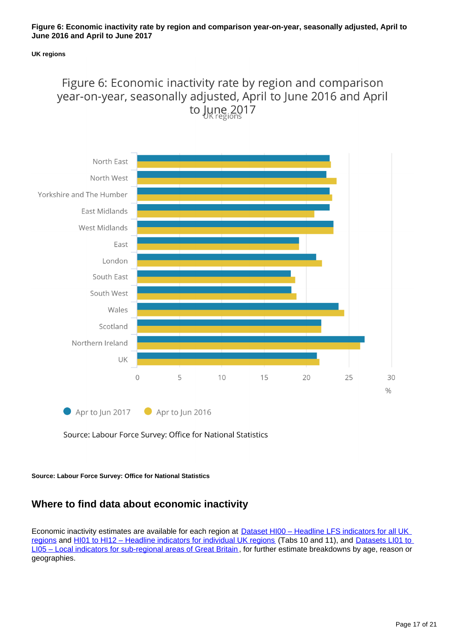#### **Figure 6: Economic inactivity rate by region and comparison year-on-year, seasonally adjusted, April to June 2016 and April to June 2017**

#### **UK regions**

## Figure 6: Economic inactivity rate by region and comparison year-on-year, seasonally adjusted, April to June 2016 and April to June 2017



Source: Labour Force Survey: Office for National Statistics

**Source: Labour Force Survey: Office for National Statistics**

### **Where to find data about economic inactivity**

Economic inactivity estimates are available for each region at **Dataset HI00 – Headline LFS indicators for all UK** [regions](http://www.ons.gov.uk/employmentandlabourmarket/peopleinwork/employmentandemployeetypes/datasets/headlinelabourforcesurveyindicatorsforallregionshi00) and HI01 to HI12 - Headline indicators for individual UK regions (Tabs 10 and 11), and Datasets LI01 to [LI05 – Local indicators for sub-regional areas of Great Britain](http://www.ons.gov.uk/employmentandlabourmarket/peopleinwork/employmentandemployeetypes/bulletins/regionallabourmarket/jan2017/relateddata/) , for further estimate breakdowns by age, reason or geographies.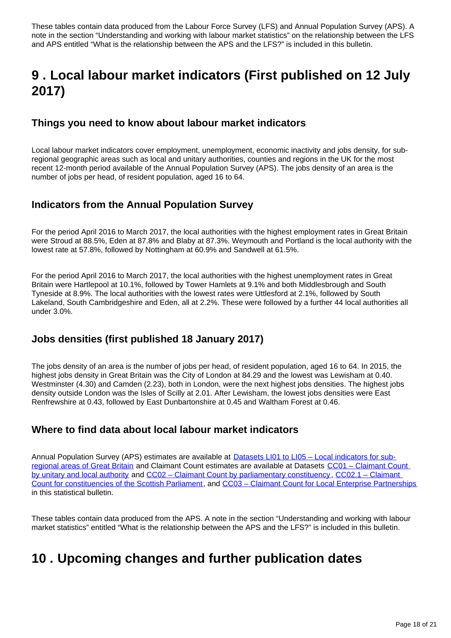These tables contain data produced from the Labour Force Survey (LFS) and Annual Population Survey (APS). A note in the section "Understanding and working with labour market statistics" on the relationship between the LFS and APS entitled "What is the relationship between the APS and the LFS?" is included in this bulletin.

## <span id="page-17-0"></span>**9 . Local labour market indicators (First published on 12 July 2017)**

### **Things you need to know about labour market indicators**

Local labour market indicators cover employment, unemployment, economic inactivity and jobs density, for subregional geographic areas such as local and unitary authorities, counties and regions in the UK for the most recent 12-month period available of the Annual Population Survey (APS). The jobs density of an area is the number of jobs per head, of resident population, aged 16 to 64.

### **Indicators from the Annual Population Survey**

For the period April 2016 to March 2017, the local authorities with the highest employment rates in Great Britain were Stroud at 88.5%, Eden at 87.8% and Blaby at 87.3%. Weymouth and Portland is the local authority with the lowest rate at 57.8%, followed by Nottingham at 60.9% and Sandwell at 61.5%.

For the period April 2016 to March 2017, the local authorities with the highest unemployment rates in Great Britain were Hartlepool at 10.1%, followed by Tower Hamlets at 9.1% and both Middlesbrough and South Tyneside at 8.9%. The local authorities with the lowest rates were Uttlesford at 2.1%, followed by South Lakeland, South Cambridgeshire and Eden, all at 2.2%. These were followed by a further 44 local authorities all under 3.0%.

### **Jobs densities (first published 18 January 2017)**

The jobs density of an area is the number of jobs per head, of resident population, aged 16 to 64. In 2015, the highest jobs density in Great Britain was the City of London at 84.29 and the lowest was Lewisham at 0.40. Westminster (4.30) and Camden (2.23), both in London, were the next highest jobs densities. The highest jobs density outside London was the Isles of Scilly at 2.01. After Lewisham, the lowest jobs densities were East Renfrewshire at 0.43, followed by East Dunbartonshire at 0.45 and Waltham Forest at 0.46.

### **Where to find data about local labour market indicators**

Annual Population Survey (APS) estimates are available at [Datasets LI01 to LI05 – Local indicators for sub](http://www.ons.gov.uk/employmentandlabourmarket/peopleinwork/employmentandemployeetypes/bulletins/regionallabourmarket/jan2017/relateddata/)[regional areas of Great Britain](http://www.ons.gov.uk/employmentandlabourmarket/peopleinwork/employmentandemployeetypes/bulletins/regionallabourmarket/jan2017/relateddata/) and Claimant Count estimates are available at Datasets [CC01 – Claimant Count](http://www.ons.gov.uk/employmentandlabourmarket/peoplenotinwork/unemployment/datasets/claimantcountbyunitaryandlocalauthorityexperimental)  [by unitary and local authority](http://www.ons.gov.uk/employmentandlabourmarket/peoplenotinwork/unemployment/datasets/claimantcountbyunitaryandlocalauthorityexperimental) and [CC02 – Claimant Count by parliamentary constituency](http://www.ons.gov.uk/employmentandlabourmarket/peoplenotinwork/unemployment/datasets/claimantcountbyparliamentaryconstituencyexperimental) , [CC02.1 – Claimant](https://www.ons.gov.uk/employmentandlabourmarket/peopleinwork/employmentandemployeetypes/datasets/cc021regionallabourmarketclaimantcountforscottishparliamentaryconstituenciesexperimental)  [Count for constituencies of the Scottish Parliament](https://www.ons.gov.uk/employmentandlabourmarket/peopleinwork/employmentandemployeetypes/datasets/cc021regionallabourmarketclaimantcountforscottishparliamentaryconstituenciesexperimental), and [CC03 – Claimant Count for Local Enterprise Partnerships](https://www.ons.gov.uk/employmentandlabourmarket/peopleinwork/employmentandemployeetypes/datasets/cc03regionallabourmarketclaimantcountforlocalenterprisepartnershipsexperimental) in this statistical bulletin.

These tables contain data produced from the APS. A note in the section "Understanding and working with labour market statistics" entitled "What is the relationship between the APS and the LFS?" is included in this bulletin.

## <span id="page-17-1"></span>**10 . Upcoming changes and further publication dates**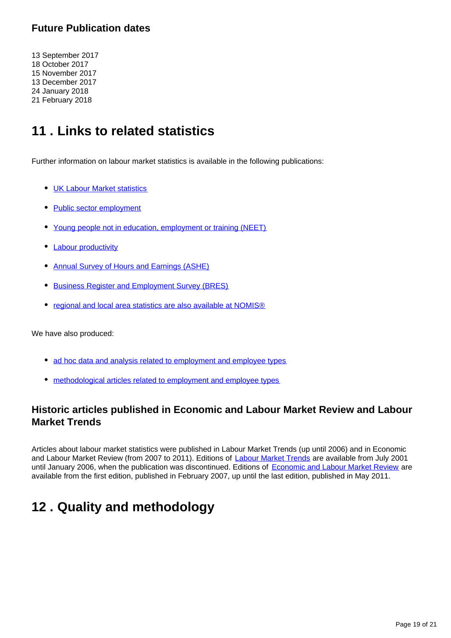### **Future Publication dates**

13 September 2017 18 October 2017 15 November 2017 13 December 2017 24 January 2018 21 February 2018

## <span id="page-18-0"></span>**11 . Links to related statistics**

Further information on labour market statistics is available in the following publications:

- [UK Labour Market statistics](http://www.ons.gov.uk/employmentandlabourmarket/peopleinwork/employmentandemployeetypes/bulletins/uklabourmarket/previousReleases)
- [Public sector employment](http://www.ons.gov.uk/employmentandlabourmarket/peopleinwork/publicsectorpersonnel/bulletins/publicsectoremployment/previousReleases)
- [Young people not in education, employment or training \(NEET\)](http://www.ons.gov.uk/employmentandlabourmarket/peoplenotinwork/unemployment/bulletins/youngpeoplenotineducationemploymentortrainingneet/previousReleases)
- [Labour productivity](http://www.ons.gov.uk/employmentandlabourmarket/peopleinwork/labourproductivity/bulletins/labourproductivity/previousReleases)
- [Annual Survey of Hours and Earnings \(ASHE\)](http://www.ons.gov.uk/employmentandlabourmarket/peopleinwork/earningsandworkinghours/bulletins/annualsurveyofhoursandearnings/previousReleases)
- **[Business Register and Employment Survey \(BRES\)](http://www.ons.gov.uk/employmentandlabourmarket/peopleinwork/employmentandemployeetypes/bulletins/businessregisterandemploymentsurveybresprovisionalresults/previousReleases)**
- [regional and local area statistics are also available at NOMIS®](http://www.nomisweb.co.uk/)

We have also produced:

- [ad hoc data and analysis related to employment and employee types](https://www.ons.gov.uk/employmentandlabourmarket/peopleinwork/employmentandemployeetypes/publications)
- [methodological articles related to employment and employee types](https://www.ons.gov.uk/employmentandlabourmarket/peopleinwork/employmentandemployeetypes/topicspecificmethodology)

### **Historic articles published in Economic and Labour Market Review and Labour Market Trends**

Articles about labour market statistics were published in Labour Market Trends (up until 2006) and in Economic and Labour Market Review (from 2007 to 2011). Editions of [Labour Market Trends](http://www.ons.gov.uk/ons/rel/lms/labour-market-trends--discontinued-/index.html) are available from July 2001 until January 2006, when the publication was discontinued. Editions of [Economic and Labour Market Review](http://www.ons.gov.uk/ons/rel/elmr/economic-and-labour-market-review/index.html) are available from the first edition, published in February 2007, up until the last edition, published in May 2011.

## <span id="page-18-1"></span>**12 . Quality and methodology**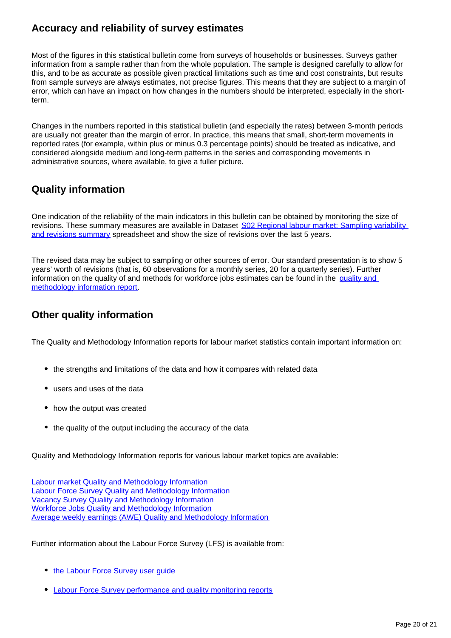### **Accuracy and reliability of survey estimates**

Most of the figures in this statistical bulletin come from surveys of households or businesses. Surveys gather information from a sample rather than from the whole population. The sample is designed carefully to allow for this, and to be as accurate as possible given practical limitations such as time and cost constraints, but results from sample surveys are always estimates, not precise figures. This means that they are subject to a margin of error, which can have an impact on how changes in the numbers should be interpreted, especially in the shortterm.

Changes in the numbers reported in this statistical bulletin (and especially the rates) between 3-month periods are usually not greater than the margin of error. In practice, this means that small, short-term movements in reported rates (for example, within plus or minus 0.3 percentage points) should be treated as indicative, and considered alongside medium and long-term patterns in the series and corresponding movements in administrative sources, where available, to give a fuller picture.

### **Quality information**

One indication of the reliability of the main indicators in this bulletin can be obtained by monitoring the size of revisions. These summary measures are available in Dataset S02 Regional labour market: Sampling variability [and revisions summary](http://www.ons.gov.uk/employmentandlabourmarket/peopleinwork/employmentandemployeetypes/datasets/samplingvariabilityandrevisionssummaryforregionallabourmarketstatisticss02) spreadsheet and show the size of revisions over the last 5 years.

The revised data may be subject to sampling or other sources of error. Our standard presentation is to show 5 years' worth of revisions (that is, 60 observations for a monthly series, 20 for a quarterly series). Further information on the quality of and methods for workforce jobs estimates can be found in the [quality and](http://www.ons.gov.uk/employmentandlabourmarket/peopleinwork/employmentandemployeetypes/qmis/workforcejobsqmi)  [methodology information report.](http://www.ons.gov.uk/employmentandlabourmarket/peopleinwork/employmentandemployeetypes/qmis/workforcejobsqmi)

### **Other quality information**

The Quality and Methodology Information reports for labour market statistics contain important information on:

- the strengths and limitations of the data and how it compares with related data
- users and uses of the data
- how the output was created
- the quality of the output including the accuracy of the data

Quality and Methodology Information reports for various labour market topics are available:

[Labour market Quality and Methodology Information](https://www.ons.gov.uk/employmentandlabourmarket/peopleinwork/employmentandemployeetypes/qmis/labourmarketqmi) [Labour Force Survey Quality and Methodology Information](https://www.ons.gov.uk/employmentandlabourmarket/peopleinwork/employmentandemployeetypes/qmis/labourforcesurveylfsqmi) [Vacancy Survey Quality and Methodology Information](https://www.ons.gov.uk/employmentandlabourmarket/peopleinwork/employmentandemployeetypes/qmis/vacancysurveyqmi) [Workforce Jobs Quality and Methodology Information](https://www.ons.gov.uk/employmentandlabourmarket/peopleinwork/employmentandemployeetypes/qmis/workforcejobsqmi) [Average weekly earnings \(AWE\) Quality and Methodology Information](https://www.ons.gov.uk/employmentandlabourmarket/peopleinwork/earningsandworkinghours/qmis/averageweeklyearningsaweqmi)

Further information about the Labour Force Survey (LFS) is available from:

- the Labour Force Survey user quide
- [Labour Force Survey performance and quality monitoring reports](https://www.ons.gov.uk/employmentandlabourmarket/peopleinwork/employmentandemployeetypes/methodologies/labourforcesurveyqualitymeasures)